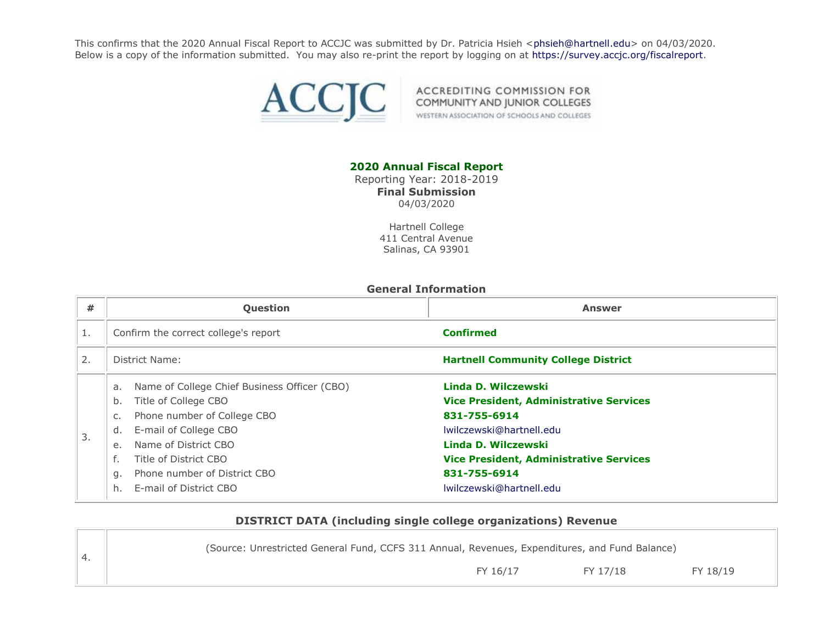This confirms that the 2020 Annual Fiscal Report to ACCJC was submitted by Dr. Patricia Hsieh [<phsieh@hartnell.edu>](mailto:phsieh@hartnell.edu) on 04/03/2020. Below is a copy of the information submitted. You may also re-print the report by logging on at [https://survey.accjc.org/fiscalreport.](https://survey.accjc.org/fiscalreport)



ACCREDITING COMMISSION FOR COMMUNITY AND JUNIOR COLLEGES WESTERN ASSOCIATION OF SCHOOLS AND COLLEGES

### **2020 Annual Fiscal Report**

Reporting Year: 2018-2019 **Final Submission** 04/03/2020

> Hartnell College 411 Central Avenue Salinas, CA 93901

#### **General Information**

| #  | Question                                                                                                                                                                                                                                                | <b>Answer</b>                                                                                                                                                                                              |
|----|---------------------------------------------------------------------------------------------------------------------------------------------------------------------------------------------------------------------------------------------------------|------------------------------------------------------------------------------------------------------------------------------------------------------------------------------------------------------------|
|    | Confirm the correct college's report                                                                                                                                                                                                                    | <b>Confirmed</b>                                                                                                                                                                                           |
| 2. | District Name:                                                                                                                                                                                                                                          | <b>Hartnell Community College District</b>                                                                                                                                                                 |
| 3. | Name of College Chief Business Officer (CBO)<br>a.<br>Title of College CBO<br>b.<br>Phone number of College CBO<br>C.<br>d.<br>E-mail of College CBO<br>Name of District CBO<br>e.<br>f.<br>Title of District CBO<br>Phone number of District CBO<br>q. | Linda D. Wilczewski<br><b>Vice President, Administrative Services</b><br>831-755-6914<br>Iwilczewski@hartnell.edu<br>Linda D. Wilczewski<br><b>Vice President, Administrative Services</b><br>831-755-6914 |
|    | E-mail of District CBO<br>h.                                                                                                                                                                                                                            | lwilczewski@hartnell.edu                                                                                                                                                                                   |

#### **DISTRICT DATA (including single college organizations) Revenue**

| (Source: Unrestricted General Fund, CCFS 311 Annual, Revenues, Expenditures, and Fund Balance) |  |
|------------------------------------------------------------------------------------------------|--|
| FY 18/19<br>FY 16/17<br>FY 17/18                                                               |  |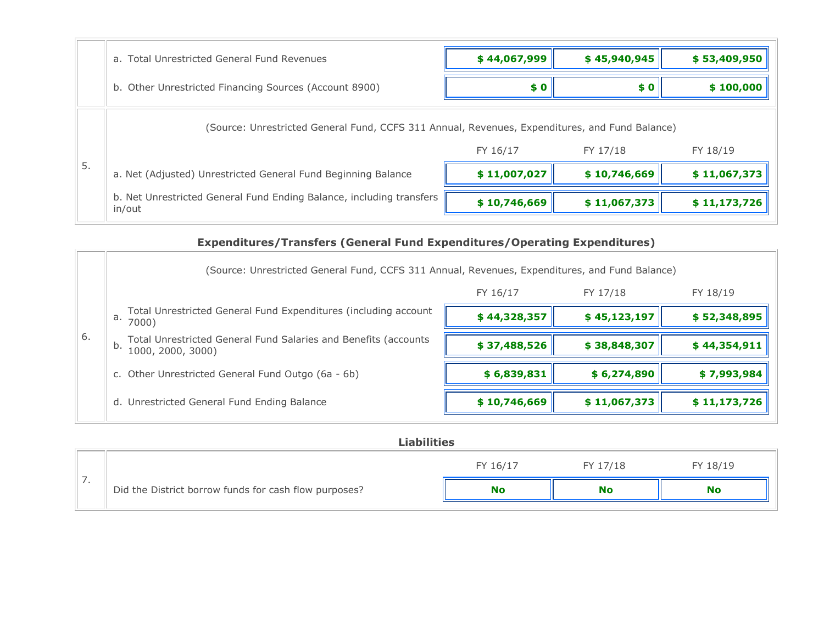|                                                                                                | a. Total Unrestricted General Fund Revenues                                    | \$44,067,999 | \$45,940,945 | \$53,409,950 |
|------------------------------------------------------------------------------------------------|--------------------------------------------------------------------------------|--------------|--------------|--------------|
|                                                                                                | b. Other Unrestricted Financing Sources (Account 8900)                         | \$0          | \$0          | \$100,000    |
| (Source: Unrestricted General Fund, CCFS 311 Annual, Revenues, Expenditures, and Fund Balance) |                                                                                |              |              |              |
| 5.                                                                                             |                                                                                | FY 16/17     | FY 17/18     | FY 18/19     |
|                                                                                                | a. Net (Adjusted) Unrestricted General Fund Beginning Balance                  | \$11,007,027 | \$10,746,669 | \$11,067,373 |
|                                                                                                | b. Net Unrestricted General Fund Ending Balance, including transfers<br>in/out | \$10,746,669 | \$11,067,373 | \$11,173,726 |

# **Expenditures/Transfers (General Fund Expenditures/Operating Expenditures)**

|    | (Source: Unrestricted General Fund, CCFS 311 Annual, Revenues, Expenditures, and Fund Balance) |              |              |              |
|----|------------------------------------------------------------------------------------------------|--------------|--------------|--------------|
|    |                                                                                                | FY 16/17     | FY 17/18     | FY 18/19     |
|    | Total Unrestricted General Fund Expenditures (including account<br>a.<br>7000)                 | \$44,328,357 | \$45,123,197 | \$52,348,895 |
| 6. | Total Unrestricted General Fund Salaries and Benefits (accounts<br>b.<br>1000, 2000, 3000)     | \$37,488,526 | \$38,848,307 | \$44,354,911 |
|    | c. Other Unrestricted General Fund Outgo (6a - 6b)                                             | \$6,839,831  | \$6,274,890  | \$7,993,984  |
|    | d. Unrestricted General Fund Ending Balance                                                    | \$10,746,669 | \$11,067,373 | \$11,173,726 |

|     | <b>Liabilities</b>                                    |           |           |           |  |  |
|-----|-------------------------------------------------------|-----------|-----------|-----------|--|--|
|     |                                                       | FY 16/17  | FY 17/18  | FY 18/19  |  |  |
| , , | Did the District borrow funds for cash flow purposes? | <b>No</b> | <b>No</b> | <b>No</b> |  |  |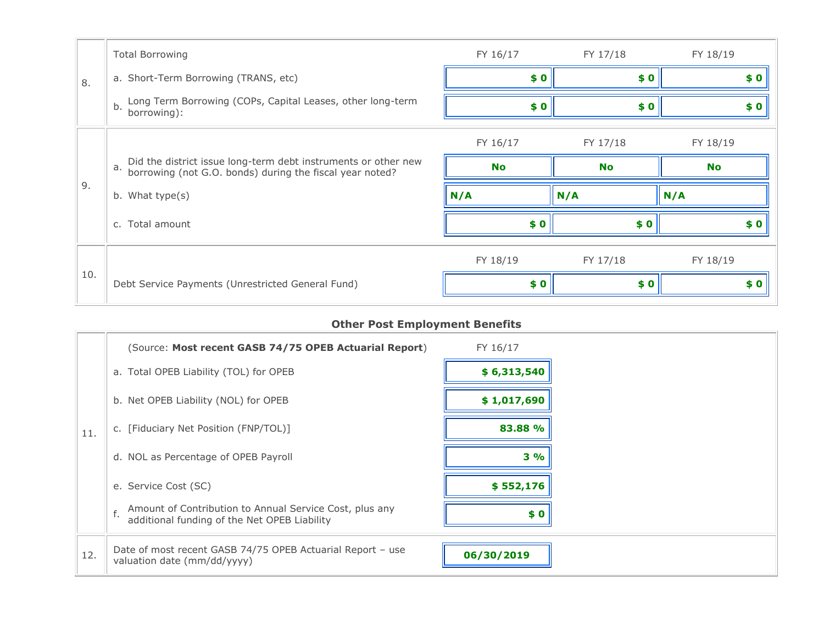|     | <b>Total Borrowing</b>                                                                                                        | FY 16/17  | FY 17/18  | FY 18/19  |
|-----|-------------------------------------------------------------------------------------------------------------------------------|-----------|-----------|-----------|
| 8.  | a. Short-Term Borrowing (TRANS, etc)                                                                                          | \$0       | \$0       | \$0       |
|     | Long Term Borrowing (COPs, Capital Leases, other long-term<br>b.<br>borrowing):                                               | \$0       | \$0       | \$0       |
|     |                                                                                                                               | FY 16/17  | FY 17/18  | FY 18/19  |
|     | Did the district issue long-term debt instruments or other new borrowing (not G.O. bonds) during the fiscal year noted?<br>a. | <b>No</b> | <b>No</b> | <b>No</b> |
| 9.  | b. What type(s)                                                                                                               | N/A       | N/A       | N/A       |
|     | c. Total amount                                                                                                               | \$0       | \$0       | \$0       |
|     |                                                                                                                               | FY 18/19  | FY 17/18  | FY 18/19  |
| 10. | Debt Service Payments (Unrestricted General Fund)                                                                             | \$0       | \$0       | \$0       |

## **Other Post Employment Benefits**

|     | (Source: Most recent GASB 74/75 OPEB Actuarial Report)                                                        | FY 16/17    |
|-----|---------------------------------------------------------------------------------------------------------------|-------------|
|     | a. Total OPEB Liability (TOL) for OPEB                                                                        | \$6,313,540 |
|     | b. Net OPEB Liability (NOL) for OPEB                                                                          | \$1,017,690 |
| 11. | c. [Fiduciary Net Position (FNP/TOL)]                                                                         | 83.88 %     |
|     | d. NOL as Percentage of OPEB Payroll                                                                          | $3\%$       |
|     | e. Service Cost (SC)                                                                                          | \$552,176   |
|     | Amount of Contribution to Annual Service Cost, plus any<br>f.<br>additional funding of the Net OPEB Liability | \$0         |
| 12. | Date of most recent GASB 74/75 OPEB Actuarial Report - use<br>valuation date (mm/dd/yyyy)                     | 06/30/2019  |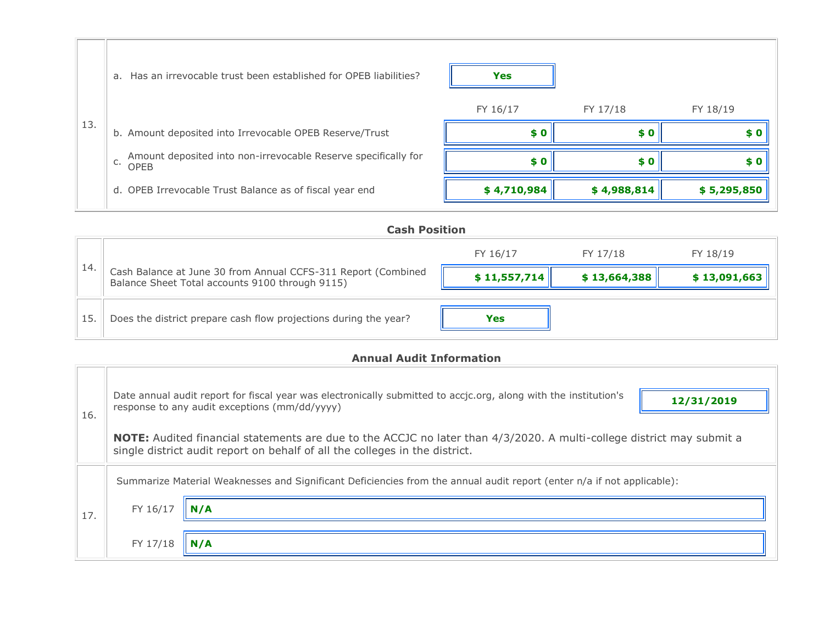|     | a. Has an irrevocable trust been established for OPEB liabilities?                  | <b>Yes</b>  |             |             |
|-----|-------------------------------------------------------------------------------------|-------------|-------------|-------------|
|     |                                                                                     | FY 16/17    | FY 17/18    | FY 18/19    |
| 13. | b. Amount deposited into Irrevocable OPEB Reserve/Trust                             | SO.         | \$0         | \$0         |
|     | Amount deposited into non-irrevocable Reserve specifically for<br>C.<br><b>OPEB</b> | $\bm{s}$ 0  | \$0         | \$0         |
|     | d. OPEB Irrevocable Trust Balance as of fiscal year end                             | \$4,710,984 | \$4,988,814 | \$5,295,850 |

|     | <b>Cash Position</b>                                                                                             |              |              |              |  |  |  |
|-----|------------------------------------------------------------------------------------------------------------------|--------------|--------------|--------------|--|--|--|
|     |                                                                                                                  | FY 16/17     | FY 17/18     | FY 18/19     |  |  |  |
| 14  | Cash Balance at June 30 from Annual CCFS-311 Report (Combined<br>Balance Sheet Total accounts 9100 through 9115) | \$11,557,714 | \$13,664,388 | \$13,091,663 |  |  |  |
| 15. | Does the district prepare cash flow projections during the year?                                                 | <b>Yes</b>   |              |              |  |  |  |

# **Annual Audit Information**

| 16. |          | Date annual audit report for fiscal year was electronically submitted to accjc.org, along with the institution's<br>12/31/2019<br>response to any audit exceptions (mm/dd/yyyy)<br><b>NOTE:</b> Audited financial statements are due to the ACCJC no later than 4/3/2020. A multi-college district may submit a<br>single district audit report on behalf of all the colleges in the district. |
|-----|----------|------------------------------------------------------------------------------------------------------------------------------------------------------------------------------------------------------------------------------------------------------------------------------------------------------------------------------------------------------------------------------------------------|
|     |          | Summarize Material Weaknesses and Significant Deficiencies from the annual audit report (enter n/a if not applicable):                                                                                                                                                                                                                                                                         |
| 17. | FY 16/17 |                                                                                                                                                                                                                                                                                                                                                                                                |
|     | FY 17/18 |                                                                                                                                                                                                                                                                                                                                                                                                |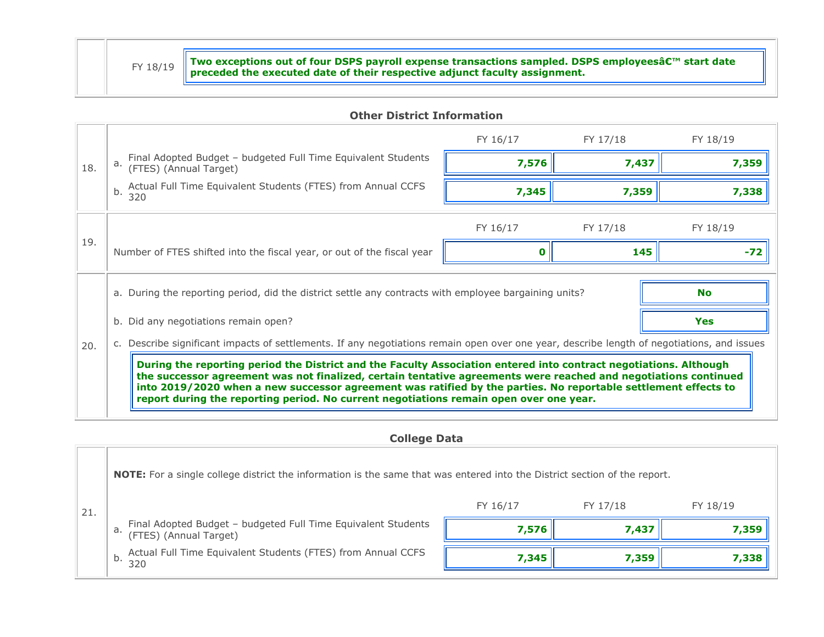$FY 18/19$  Two exceptions out of four DSPS payroll expense transactions sampled. DSPS employees' start date  $FY 18/19$ 

#### **Other District Information**

|     |                                                                                                                                                                                                                                                                                                                                                                                                                                                  | FY 16/17 | FY 17/18 | FY 18/19 |  |
|-----|--------------------------------------------------------------------------------------------------------------------------------------------------------------------------------------------------------------------------------------------------------------------------------------------------------------------------------------------------------------------------------------------------------------------------------------------------|----------|----------|----------|--|
| 18. | Final Adopted Budget - budgeted Full Time Equivalent Students (FTES) (Annual Target)                                                                                                                                                                                                                                                                                                                                                             | 7,576    | 7,437    | 7,359    |  |
|     | Actual Full Time Equivalent Students (FTES) from Annual CCFS<br>b.<br>320                                                                                                                                                                                                                                                                                                                                                                        | 7,345    | 7,359    | 7,338    |  |
| 19. |                                                                                                                                                                                                                                                                                                                                                                                                                                                  | FY 16/17 | FY 17/18 | FY 18/19 |  |
|     | Number of FTES shifted into the fiscal year, or out of the fiscal year                                                                                                                                                                                                                                                                                                                                                                           |          | 145      | -72      |  |
|     | a. During the reporting period, did the district settle any contracts with employee bargaining units?<br><b>No</b>                                                                                                                                                                                                                                                                                                                               |          |          |          |  |
|     | <b>Yes</b><br>b. Did any negotiations remain open?                                                                                                                                                                                                                                                                                                                                                                                               |          |          |          |  |
| 20. | c. Describe significant impacts of settlements. If any negotiations remain open over one year, describe length of negotiations, and issues                                                                                                                                                                                                                                                                                                       |          |          |          |  |
|     | During the reporting period the District and the Faculty Association entered into contract negotiations. Although<br>the successor agreement was not finalized, certain tentative agreements were reached and negotiations continued<br>into 2019/2020 when a new successor agreement was ratified by the parties. No reportable settlement effects to<br>report during the reporting period. No current negotiations remain open over one year. |          |          |          |  |

**College Data**

21. **NOTE:** For a single college district the information is the same that was entered into the District section of the report. FY 16/17 FY 17/18 FY 18/19 a. Final Adopted Budget – budgeted Full Time Equivalent Students (FTES) (Annual Target) **7,576 7,437 7,359** b. Actual Full Time Equivalent Students (FTES) from Annual CCFS <sup>320</sup> **7,345 7,359 7,338**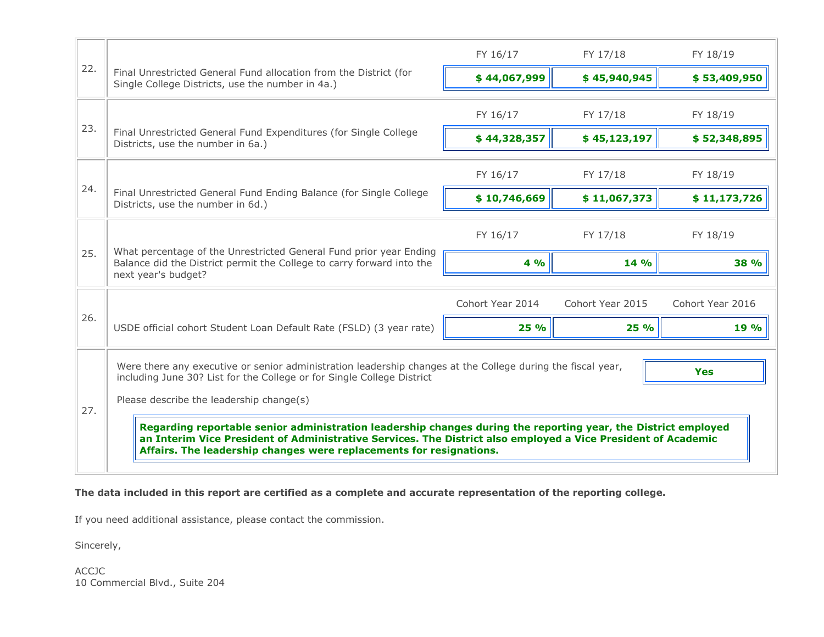|     |                                                                                                                                                                                                                                                                                                                                                                                                                                                                                                                                                           | FY 16/17         | FY 17/18         | FY 18/19         |  |
|-----|-----------------------------------------------------------------------------------------------------------------------------------------------------------------------------------------------------------------------------------------------------------------------------------------------------------------------------------------------------------------------------------------------------------------------------------------------------------------------------------------------------------------------------------------------------------|------------------|------------------|------------------|--|
| 22. | Final Unrestricted General Fund allocation from the District (for<br>Single College Districts, use the number in 4a.)                                                                                                                                                                                                                                                                                                                                                                                                                                     | \$44,067,999     | \$45,940,945     | \$53,409,950     |  |
|     |                                                                                                                                                                                                                                                                                                                                                                                                                                                                                                                                                           | FY 16/17         | FY 17/18         | FY 18/19         |  |
| 23. | Final Unrestricted General Fund Expenditures (for Single College<br>Districts, use the number in 6a.)                                                                                                                                                                                                                                                                                                                                                                                                                                                     | \$44,328,357     | \$45,123,197     | \$52,348,895     |  |
|     |                                                                                                                                                                                                                                                                                                                                                                                                                                                                                                                                                           | FY 16/17         | FY 17/18         | FY 18/19         |  |
| 24. | Final Unrestricted General Fund Ending Balance (for Single College<br>Districts, use the number in 6d.)                                                                                                                                                                                                                                                                                                                                                                                                                                                   | \$10,746,669     | \$11,067,373     | \$11,173,726     |  |
|     |                                                                                                                                                                                                                                                                                                                                                                                                                                                                                                                                                           | FY 16/17         | FY 17/18         | FY 18/19         |  |
| 25. | What percentage of the Unrestricted General Fund prior year Ending<br>Balance did the District permit the College to carry forward into the<br>next year's budget?                                                                                                                                                                                                                                                                                                                                                                                        | 4%               | 14 %             | 38 %             |  |
|     |                                                                                                                                                                                                                                                                                                                                                                                                                                                                                                                                                           | Cohort Year 2014 | Cohort Year 2015 | Cohort Year 2016 |  |
| 26. | USDE official cohort Student Loan Default Rate (FSLD) (3 year rate)                                                                                                                                                                                                                                                                                                                                                                                                                                                                                       | 25 %             | 25 %             | 19 %             |  |
| 27. | Were there any executive or senior administration leadership changes at the College during the fiscal year,<br><b>Yes</b><br>including June 30? List for the College or for Single College District<br>Please describe the leadership change(s)<br>Regarding reportable senior administration leadership changes during the reporting year, the District employed<br>an Interim Vice President of Administrative Services. The District also employed a Vice President of Academic<br>Affairs. The leadership changes were replacements for resignations. |                  |                  |                  |  |

## **The data included in this report are certified as a complete and accurate representation of the reporting college.**

If you need additional assistance, please contact the commission.

Sincerely,

ACCJC 10 Commercial Blvd., Suite 204